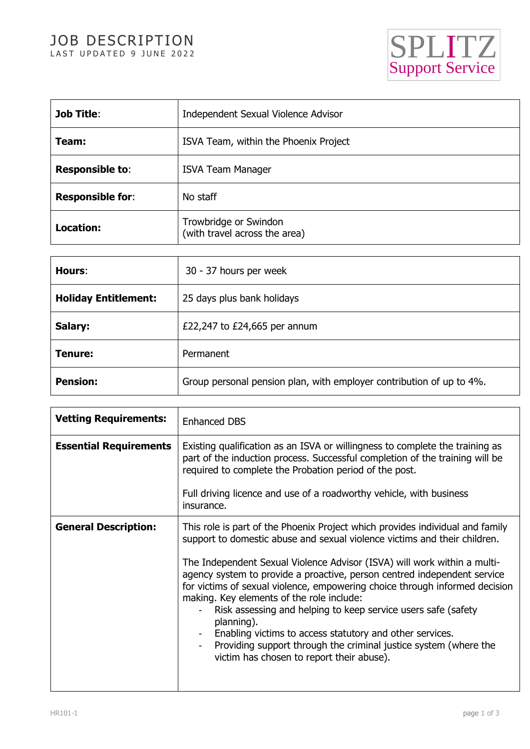## JOB DESCRIPTION LAST UPDATED 9 JUNE 2022



| <b>Job Title:</b>       | Independent Sexual Violence Advisor                    |
|-------------------------|--------------------------------------------------------|
| Team:                   | ISVA Team, within the Phoenix Project                  |
| <b>Responsible to:</b>  | <b>ISVA Team Manager</b>                               |
| <b>Responsible for:</b> | No staff                                               |
| <b>Location:</b>        | Trowbridge or Swindon<br>(with travel across the area) |

| Hours:                      | 30 - 37 hours per week                                               |
|-----------------------------|----------------------------------------------------------------------|
| <b>Holiday Entitlement:</b> | 25 days plus bank holidays                                           |
| Salary:                     | £22,247 to £24,665 per annum                                         |
| Tenure:                     | Permanent                                                            |
| <b>Pension:</b>             | Group personal pension plan, with employer contribution of up to 4%. |

| <b>Vetting Requirements:</b>  | <b>Enhanced DBS</b>                                                                                                                                                                                                                                                                                                                                                                  |
|-------------------------------|--------------------------------------------------------------------------------------------------------------------------------------------------------------------------------------------------------------------------------------------------------------------------------------------------------------------------------------------------------------------------------------|
| <b>Essential Requirements</b> | Existing qualification as an ISVA or willingness to complete the training as<br>part of the induction process. Successful completion of the training will be<br>required to complete the Probation period of the post.                                                                                                                                                               |
|                               | Full driving licence and use of a roadworthy vehicle, with business<br>insurance.                                                                                                                                                                                                                                                                                                    |
| <b>General Description:</b>   | This role is part of the Phoenix Project which provides individual and family<br>support to domestic abuse and sexual violence victims and their children.<br>The Independent Sexual Violence Advisor (ISVA) will work within a multi-<br>agency system to provide a proactive, person centred independent service                                                                   |
|                               | for victims of sexual violence, empowering choice through informed decision<br>making. Key elements of the role include:<br>Risk assessing and helping to keep service users safe (safety<br>planning).<br>Enabling victims to access statutory and other services.<br>Providing support through the criminal justice system (where the<br>victim has chosen to report their abuse). |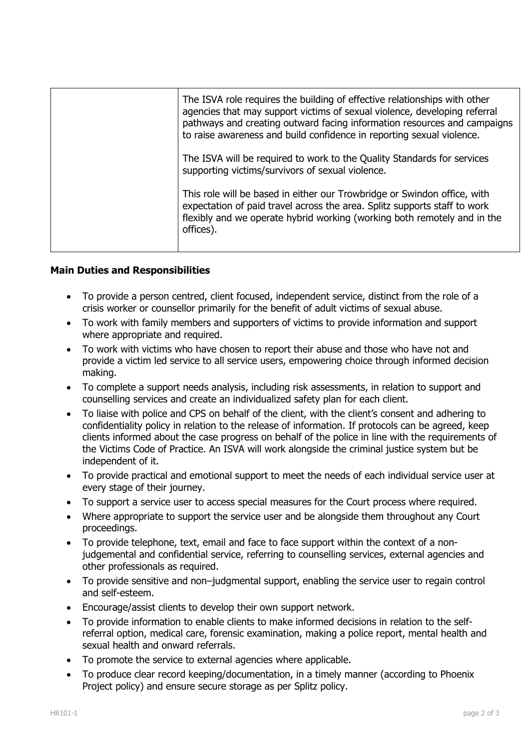| The ISVA role requires the building of effective relationships with other<br>agencies that may support victims of sexual violence, developing referral<br>pathways and creating outward facing information resources and campaigns<br>to raise awareness and build confidence in reporting sexual violence. |
|-------------------------------------------------------------------------------------------------------------------------------------------------------------------------------------------------------------------------------------------------------------------------------------------------------------|
| The ISVA will be required to work to the Quality Standards for services<br>supporting victims/survivors of sexual violence.                                                                                                                                                                                 |
| This role will be based in either our Trowbridge or Swindon office, with<br>expectation of paid travel across the area. Splitz supports staff to work<br>flexibly and we operate hybrid working (working both remotely and in the<br>offices).                                                              |

## **Main Duties and Responsibilities**

- To provide a person centred, client focused, independent service, distinct from the role of a crisis worker or counsellor primarily for the benefit of adult victims of sexual abuse.
- To work with family members and supporters of victims to provide information and support where appropriate and required.
- To work with victims who have chosen to report their abuse and those who have not and provide a victim led service to all service users, empowering choice through informed decision making.
- To complete a support needs analysis, including risk assessments, in relation to support and counselling services and create an individualized safety plan for each client.
- To liaise with police and CPS on behalf of the client, with the client's consent and adhering to confidentiality policy in relation to the release of information. If protocols can be agreed, keep clients informed about the case progress on behalf of the police in line with the requirements of the Victims Code of Practice. An ISVA will work alongside the criminal justice system but be independent of it.
- To provide practical and emotional support to meet the needs of each individual service user at every stage of their journey.
- To support a service user to access special measures for the Court process where required.
- Where appropriate to support the service user and be alongside them throughout any Court proceedings.
- To provide telephone, text, email and face to face support within the context of a nonjudgemental and confidential service, referring to counselling services, external agencies and other professionals as required.
- To provide sensitive and non–judgmental support, enabling the service user to regain control and self-esteem.
- Encourage/assist clients to develop their own support network.
- To provide information to enable clients to make informed decisions in relation to the selfreferral option, medical care, forensic examination, making a police report, mental health and sexual health and onward referrals.
- To promote the service to external agencies where applicable.
- To produce clear record keeping/documentation, in a timely manner (according to Phoenix Project policy) and ensure secure storage as per Splitz policy.